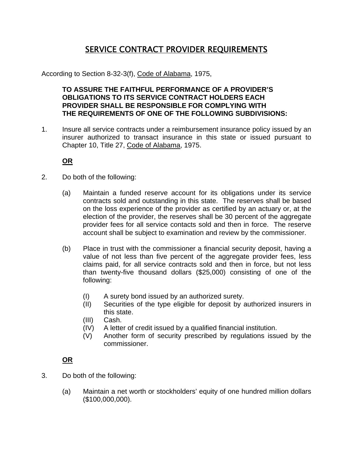## SERVICE CONTRACT PROVIDER REQUIREMENTS

According to Section 8-32-3(f), Code of Alabama, 1975,

 **TO ASSURE THE FAITHFUL PERFORMANCE OF A PROVIDER'S OBLIGATIONS TO ITS SERVICE CONTRACT HOLDERS EACH PROVIDER SHALL BE RESPONSIBLE FOR COMPLYING WITH THE REQUIREMENTS OF ONE OF THE FOLLOWING SUBDIVISIONS:** 

1. Insure all service contracts under a reimbursement insurance policy issued by an insurer authorized to transact insurance in this state or issued pursuant to Chapter 10, Title 27, Code of Alabama, 1975.

**OR**

- 2. Do both of the following:
	- (a) Maintain a funded reserve account for its obligations under its service contracts sold and outstanding in this state. The reserves shall be based on the loss experience of the provider as certified by an actuary or, at the election of the provider, the reserves shall be 30 percent of the aggregate provider fees for all service contacts sold and then in force. The reserve account shall be subject to examination and review by the commissioner.
	- (b) Place in trust with the commissioner a financial security deposit, having a value of not less than five percent of the aggregate provider fees, less claims paid, for all service contracts sold and then in force, but not less than twenty-five thousand dollars (\$25,000) consisting of one of the following:
		- (I) A surety bond issued by an authorized surety.
		- (II) Securities of the type eligible for deposit by authorized insurers in this state.
		- (III) Cash.
		- (IV) A letter of credit issued by a qualified financial institution.
		- (V) Another form of security prescribed by regulations issued by the commissioner.

## **OR**

- 3. Do both of the following:
	- (a) Maintain a net worth or stockholders' equity of one hundred million dollars (\$100,000,000).